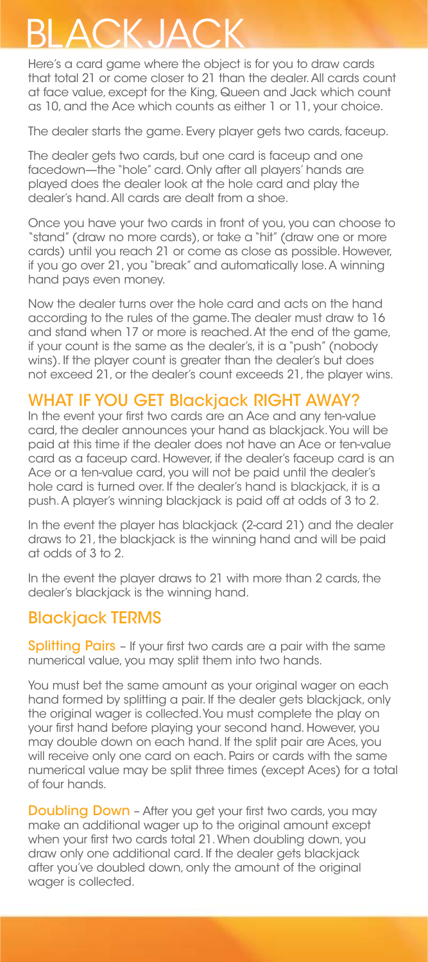## BLACKJACK

Here's a card game where the object is for you to draw cards that total 21 or come closer to 21 than the dealer. All cards count at face value, except for the King, Queen and Jack which count as 10, and the Ace which counts as either 1 or 11, your choice.

The dealer starts the game. Every player gets two cards, faceup.

The dealer gets two cards, but one card is faceup and one facedown—the "hole" card. Only after all players' hands are played does the dealer look at the hole card and play the dealer's hand. All cards are dealt from a shoe.

Once you have your two cards in front of you, you can choose to "stand" (draw no more cards), or take a "hit" (draw one or more cards) until you reach 21 or come as close as possible. However, if you go over 21, you "break" and automatically lose. A winning hand pays even money.

Now the dealer turns over the hole card and acts on the hand according to the rules of the game. The dealer must draw to 16 and stand when 17 or more is reached. At the end of the game, if your count is the same as the dealer's, it is a "push" (nobody wins). If the player count is greater than the dealer's but does not exceed 21, or the dealer's count exceeds 21, the player wins.

## WHAT IF YOU GET Blackjack RIGHT AWAY?

In the event your first two cards are an Ace and any ten-value card, the dealer announces your hand as blackjack. You will be paid at this time if the dealer does not have an Ace or ten-value card as a faceup card. However, if the dealer's faceup card is an Ace or a ten-value card, you will not be paid until the dealer's hole card is turned over. If the dealer's hand is blackjack, it is a push. A player's winning blackjack is paid off at odds of 3 to 2.

In the event the player has blackjack (2-card 21) and the dealer draws to 21, the blackjack is the winning hand and will be paid at odds of 3 to 2.

In the event the player draws to 21 with more than 2 cards, the dealer's blackjack is the winning hand.

## Blackjack TERMS

Splitting Pairs - If your first two cards are a pair with the same numerical value, you may split them into two hands.

You must bet the same amount as your original wager on each hand formed by splitting a pair. If the dealer gets blackjack, only the original wager is collected. You must complete the play on your first hand before playing your second hand. However, you may double down on each hand. If the split pair are Aces, you will receive only one card on each. Pairs or cards with the same numerical value may be split three times (except Aces) for a total of four hands.

**Doubling Down** - After you get your first two cards, you may make an additional wager up to the original amount except when your first two cards total 21. When doubling down, you draw only one additional card. If the dealer gets blackjack after you've doubled down, only the amount of the original wager is collected.